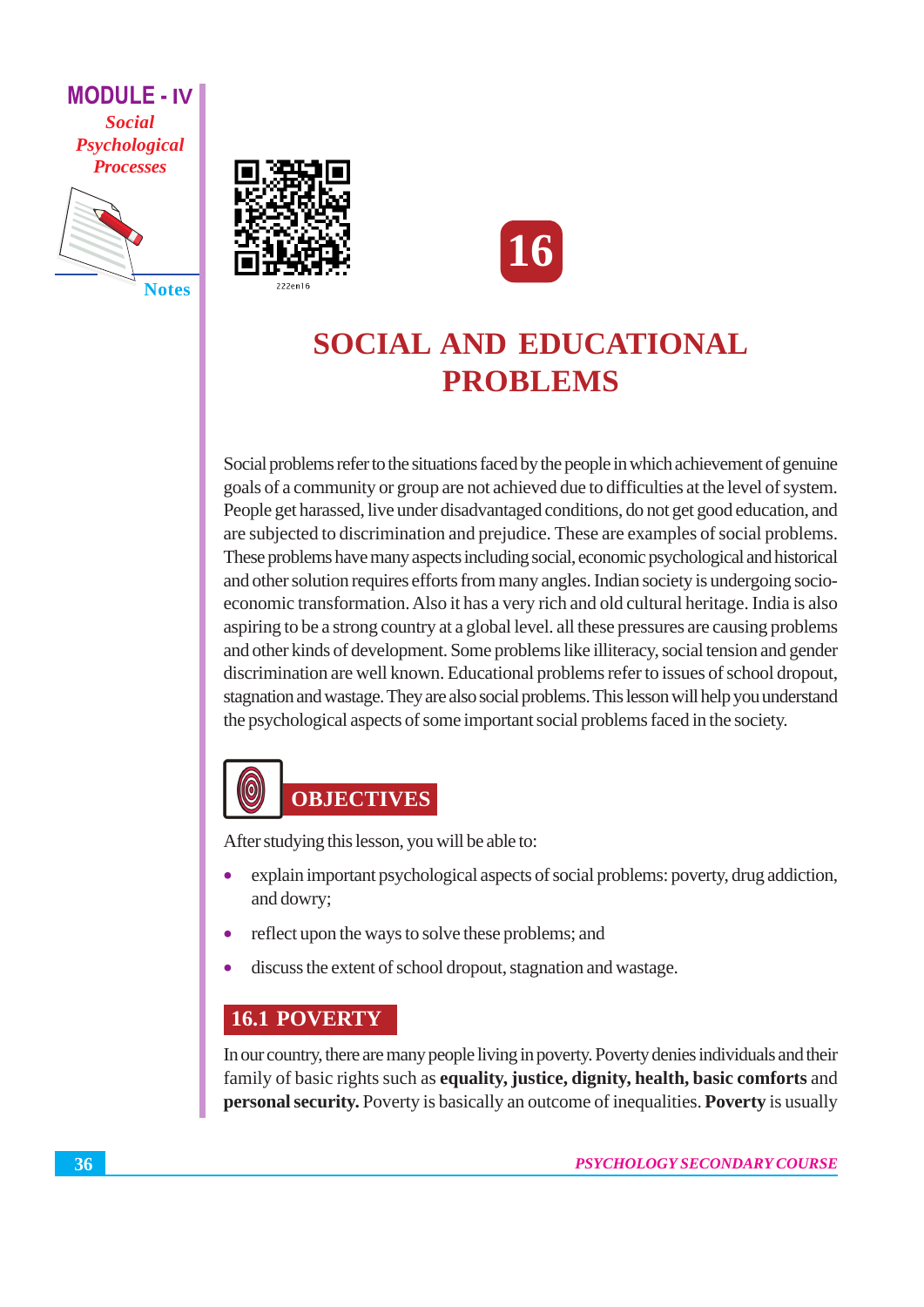**MODULE - IV Social** Psychological **Processes** 



**Notes** 





## **SOCIAL AND EDUCATIONAL PROBLEMS**

Social problems refer to the situations faced by the people in which achievement of genuine goals of a community or group are not achieved due to difficulties at the level of system. People get harassed, live under disadvantaged conditions, do not get good education, and are subjected to discrimination and prejudice. These are examples of social problems. These problems have many aspects including social, economic psychological and historical and other solution requires efforts from many angles. Indian society is undergoing socioeconomic transformation. Also it has a very rich and old cultural heritage. India is also aspiring to be a strong country at a global level. all these pressures are causing problems and other kinds of development. Some problems like illiteracy, social tension and gender discrimination are well known. Educational problems refer to issues of school dropout, stagnation and wastage. They are also social problems. This lesson will help you understand the psychological aspects of some important social problems faced in the society.

## $\circledcirc$ **OBJECTIVES**

After studying this lesson, you will be able to:

- explain important psychological aspects of social problems: poverty, drug addiction, and dowry;
- reflect upon the ways to solve these problems; and  $\bullet$
- discuss the extent of school dropout, stagnation and wastage.

## **16.1 POVERTY**

In our country, there are many people living in poverty. Poverty denies individuals and their family of basic rights such as equality, justice, dignity, health, basic comforts and personal security. Poverty is basically an outcome of inequalities. Poverty is usually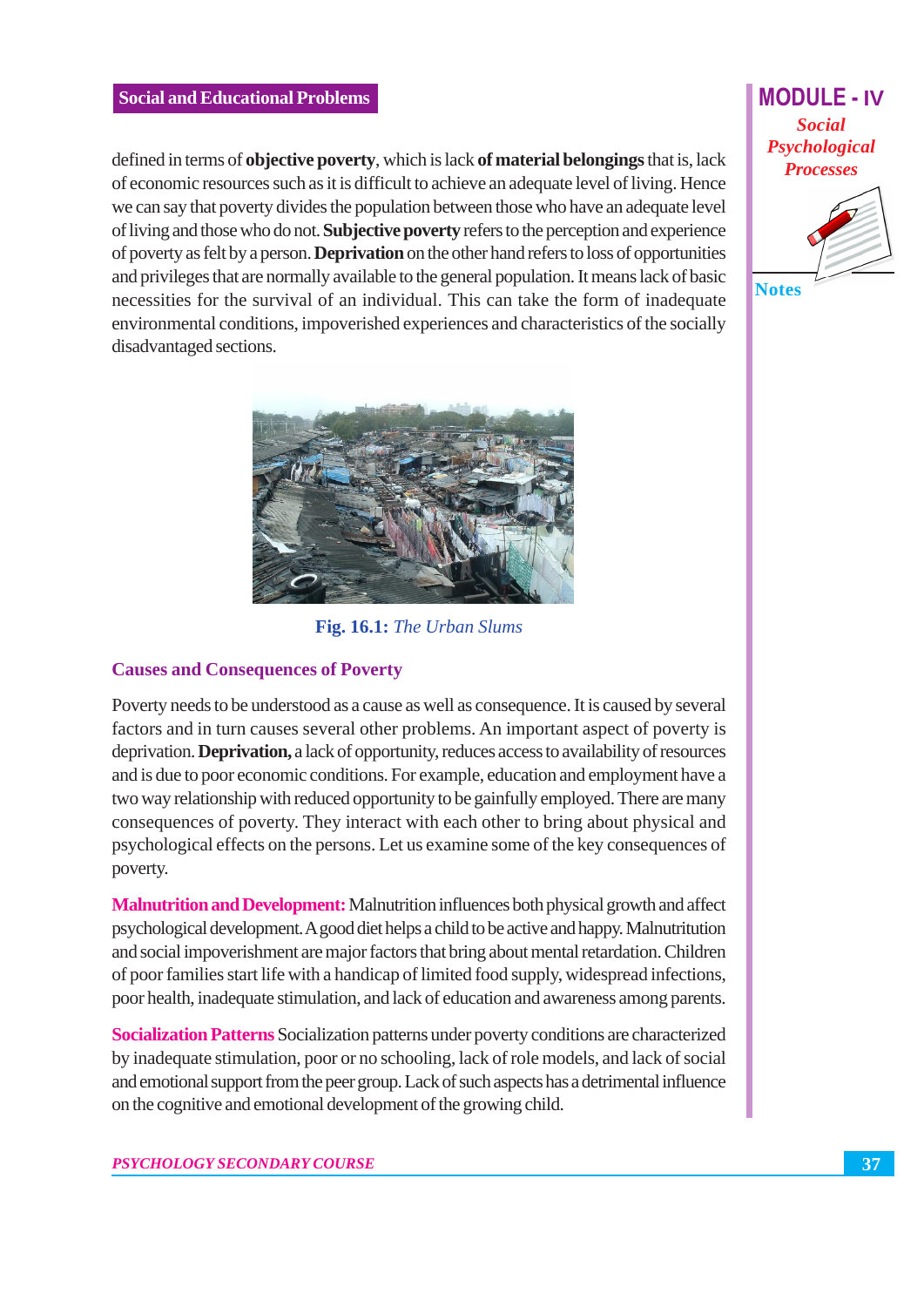defined in terms of **objective poverty**, which is lack **of material belongings** that is, lack of economic resources such as it is difficult to achieve an adequate level of living. Hence we can say that poverty divides the population between those who have an adequate level of living and those who do not. Subjective poverty refers to the perception and experience of poverty as felt by a person. **Deprivation** on the other hand refers to loss of opportunities and privileges that are normally available to the general population. It means lack of basic necessities for the survival of an individual. This can take the form of inadequate environmental conditions, impoverished experiences and characteristics of the socially disadvantaged sections.



Fig. 16.1: The Urban Slums

#### **Causes and Consequences of Poverty**

Poverty needs to be understood as a cause as well as consequence. It is caused by several factors and in turn causes several other problems. An important aspect of poverty is deprivation. **Deprivation.** a lack of opportunity, reduces access to availability of resources and is due to poor economic conditions. For example, education and employment have a two way relationship with reduced opportunity to be gainfully employed. There are many consequences of poverty. They interact with each other to bring about physical and psychological effects on the persons. Let us examine some of the key consequences of poverty.

**Malnutrition and Development:** Malnutrition influences both physical growth and affect psychological development. A good diet helps a child to be active and happy. Malnutritution and social impoverishment are major factors that bring about mental retardation. Children of poor families start life with a handicap of limited food supply, widespread infections, poor health, inadequate stimulation, and lack of education and awareness among parents.

**Socialization Patterns Socialization patterns under poverty conditions are characterized** by inadequate stimulation, poor or no schooling, lack of role models, and lack of social and emotional support from the peer group. Lack of such aspects has a detrimental influence on the cognitive and emotional development of the growing child.

## **MODULE - IV Social** Psychological **Processes**

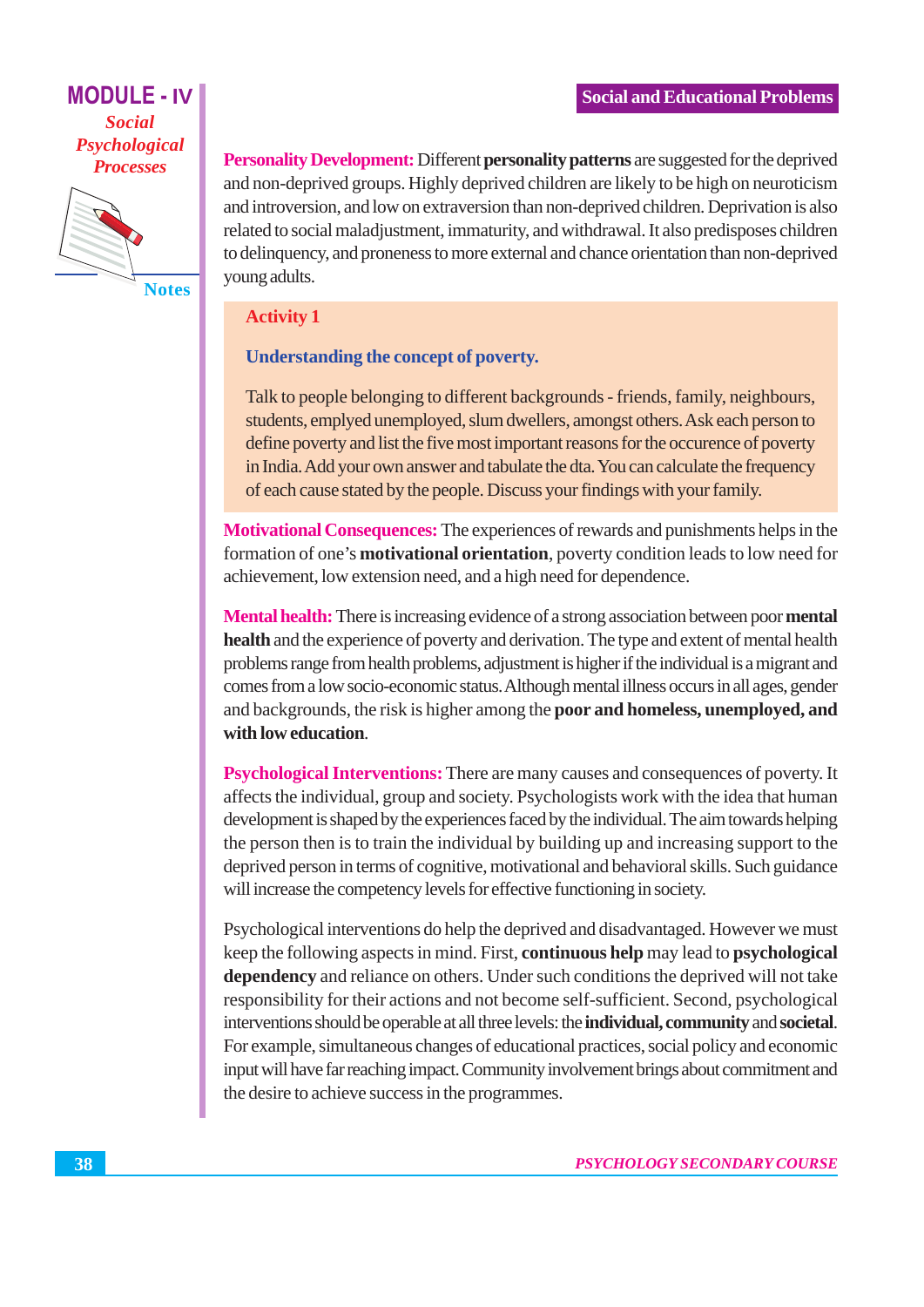**MODULE - IV Social** Psychological **Processes** 



**Notes** 

Personality Development: Different personality patterns are suggested for the deprived and non-deprived groups. Highly deprived children are likely to be high on neuroticism and introversion, and low on extraversion than non-deprived children. Deprivation is also related to social maladjustment, immaturity, and withdrawal. It also predisposes children to delinquency, and proneness to more external and chance orientation than non-deprived young adults.

#### **Activity 1**

#### Understanding the concept of poverty.

Talk to people belonging to different backgrounds - friends, family, neighbours, students, emplyed unemployed, slum dwellers, amongst others. Ask each person to define poverty and list the five most important reasons for the occurence of poverty in India. Add your own answer and tabulate the dta. You can calculate the frequency of each cause stated by the people. Discuss your findings with your family.

Motivational Consequences: The experiences of rewards and punishments helps in the formation of one's **motivational orientation**, poverty condition leads to low need for achievement, low extension need, and a high need for dependence.

**Mental health:** There is increasing evidence of a strong association between poor mental **health** and the experience of poverty and derivation. The type and extent of mental health problems range from health problems, adjustment is higher if the individual is a migrant and comes from a low socio-economic status. Although mental illness occurs in all ages, gender and backgrounds, the risk is higher among the poor and homeless, unemploved, and with low education.

**Psychological Interventions:** There are many causes and consequences of poverty. It affects the individual, group and society. Psychologists work with the idea that human development is shaped by the experiences faced by the individual. The aim towards helping the person then is to train the individual by building up and increasing support to the deprived person in terms of cognitive, motivational and behavioral skills. Such guidance will increase the competency levels for effective functioning in society.

Psychological interventions do help the deprived and disadvantaged. However we must keep the following aspects in mind. First, continuous help may lead to psychological dependency and reliance on others. Under such conditions the deprived will not take responsibility for their actions and not become self-sufficient. Second, psychological interventions should be operable at all three levels: the individual, community and societal. For example, simultaneous changes of educational practices, social policy and economic input will have far reaching impact. Community involvement brings about commitment and the desire to achieve success in the programmes.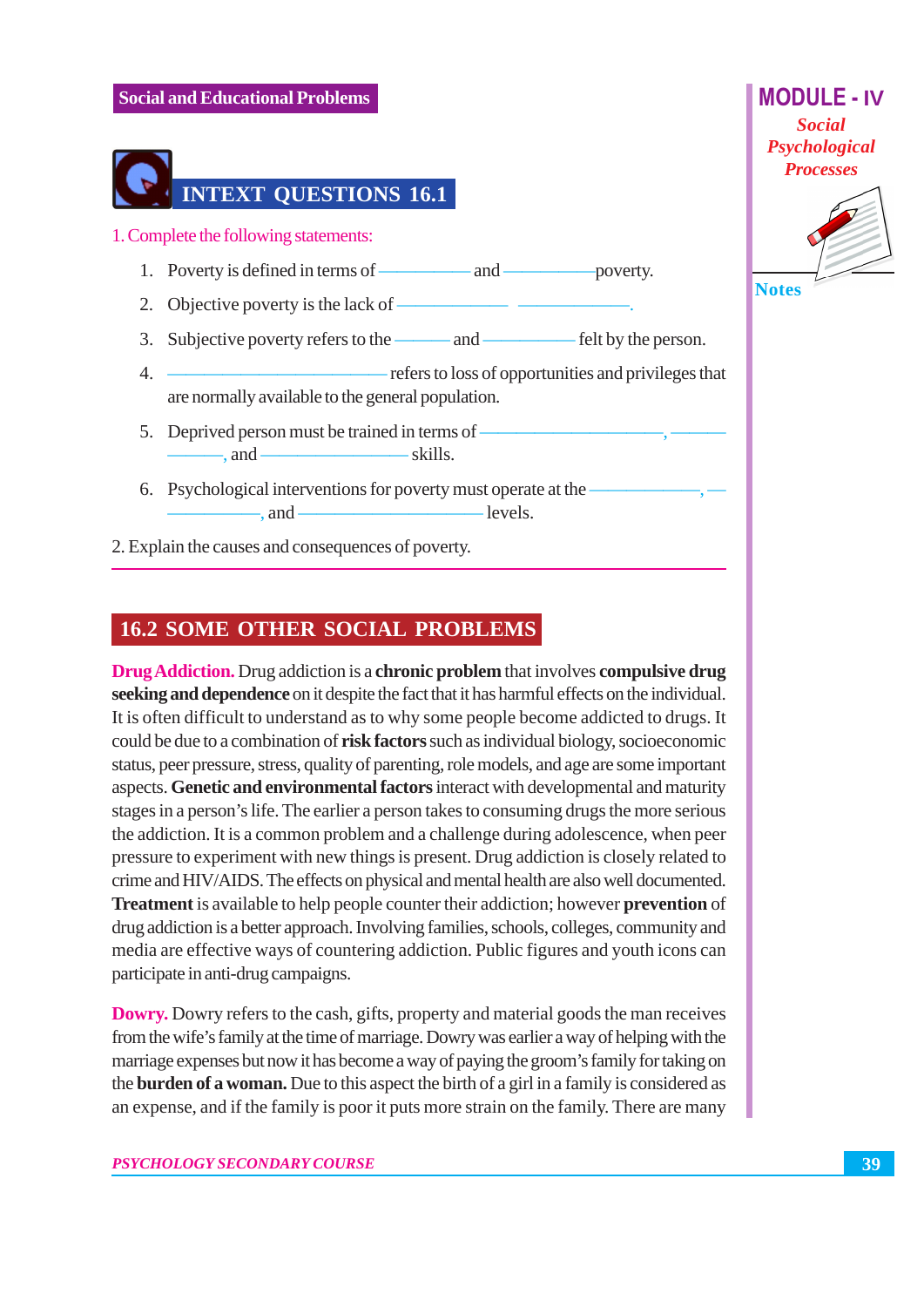

2. Explain the causes and consequences of poverty.

## **16.2 SOME OTHER SOCIAL PROBLEMS**

**Drug Addiction.** Drug addiction is a **chronic problem** that involves **compulsive drug** seeking and dependence on it despite the fact that it has harmful effects on the individual. It is often difficult to understand as to why some people become addicted to drugs. It could be due to a combination of risk factors such as individual biology, socioeconomic status, peer pressure, stress, quality of parenting, role models, and age are some important aspects. Genetic and environmental factors interact with developmental and maturity stages in a person's life. The earlier a person takes to consuming drugs the more serious the addiction. It is a common problem and a challenge during adolescence, when peer pressure to experiment with new things is present. Drug addiction is closely related to crime and HIV/AIDS. The effects on physical and mental health are also well documented. **Treatment** is available to help people counter their addiction; however **prevention** of drug addiction is a better approach. Involving families, schools, colleges, community and media are effective ways of countering addiction. Public figures and youth icons can participate in anti-drug campaigns.

**Dowry.** Dowry refers to the cash, gifts, property and material goods the man receives from the wife's family at the time of marriage. Dowry was earlier a way of helping with the marriage expenses but now it has become a way of paying the groom's family for taking on the **burden of a woman.** Due to this aspect the birth of a girl in a family is considered as an expense, and if the family is poor it puts more strain on the family. There are many



**Notes**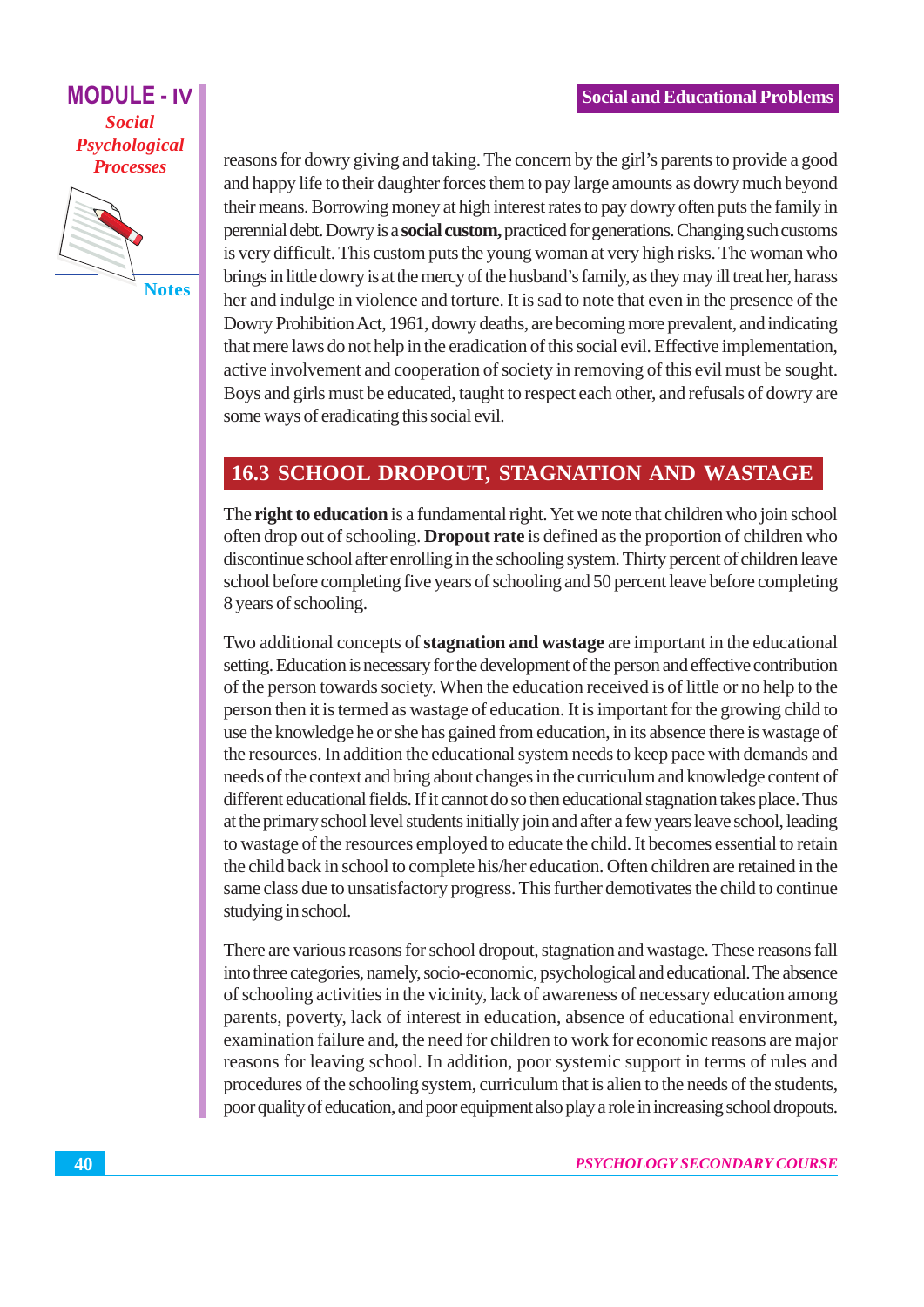## **MODULE - IV Social** Psychological **Processes**



**Notes** 

reasons for dowry giving and taking. The concern by the girl's parents to provide a good and happy life to their daughter forces them to pay large amounts as dowry much beyond their means. Borrowing money at high interest rates to pay dowry often puts the family in perennial debt. Dowry is a **social custom**, practiced for generations. Changing such customs is very difficult. This custom puts the young woman at very high risks. The woman who brings in little dowry is at the mercy of the husband's family, as they may ill treat her, harass her and indulge in violence and torture. It is sad to note that even in the presence of the Dowry Prohibition Act, 1961, dowry deaths, are becoming more prevalent, and indicating that mere laws do not help in the eradication of this social evil. Effective implementation, active involvement and cooperation of society in removing of this evil must be sought. Boys and girls must be educated, taught to respect each other, and refusals of dowry are some ways of eradicating this social evil.

## **16.3 SCHOOL DROPOUT, STAGNATION AND WASTAGE**

The right to education is a fundamental right. Yet we note that children who join school often drop out of schooling. **Dropout rate** is defined as the proportion of children who discontinue school after enrolling in the schooling system. Thirty percent of children leave school before completing five years of schooling and 50 percent leave before completing 8 years of schooling.

Two additional concepts of **stagnation and wastage** are important in the educational setting. Education is necessary for the development of the person and effective contribution of the person towards society. When the education received is of little or no help to the person then it is termed as wastage of education. It is important for the growing child to use the knowledge he or she has gained from education, in its absence there is wastage of the resources. In addition the educational system needs to keep pace with demands and needs of the context and bring about changes in the curriculum and knowledge content of different educational fields. If it cannot do so then educational stagnation takes place. Thus at the primary school level students initially join and after a few years leave school, leading to wastage of the resources employed to educate the child. It becomes essential to retain the child back in school to complete his/her education. Often children are retained in the same class due to unsatisfactory progress. This further demotivates the child to continue studying in school.

There are various reasons for school dropout, stagnation and wastage. These reasons fall into three categories, namely, socio-economic, psychological and educational. The absence of schooling activities in the vicinity, lack of awareness of necessary education among parents, poverty, lack of interest in education, absence of educational environment, examination failure and, the need for children to work for economic reasons are major reasons for leaving school. In addition, poor systemic support in terms of rules and procedures of the schooling system, curriculum that is alien to the needs of the students, poor quality of education, and poor equipment also play a role in increasing school dropouts.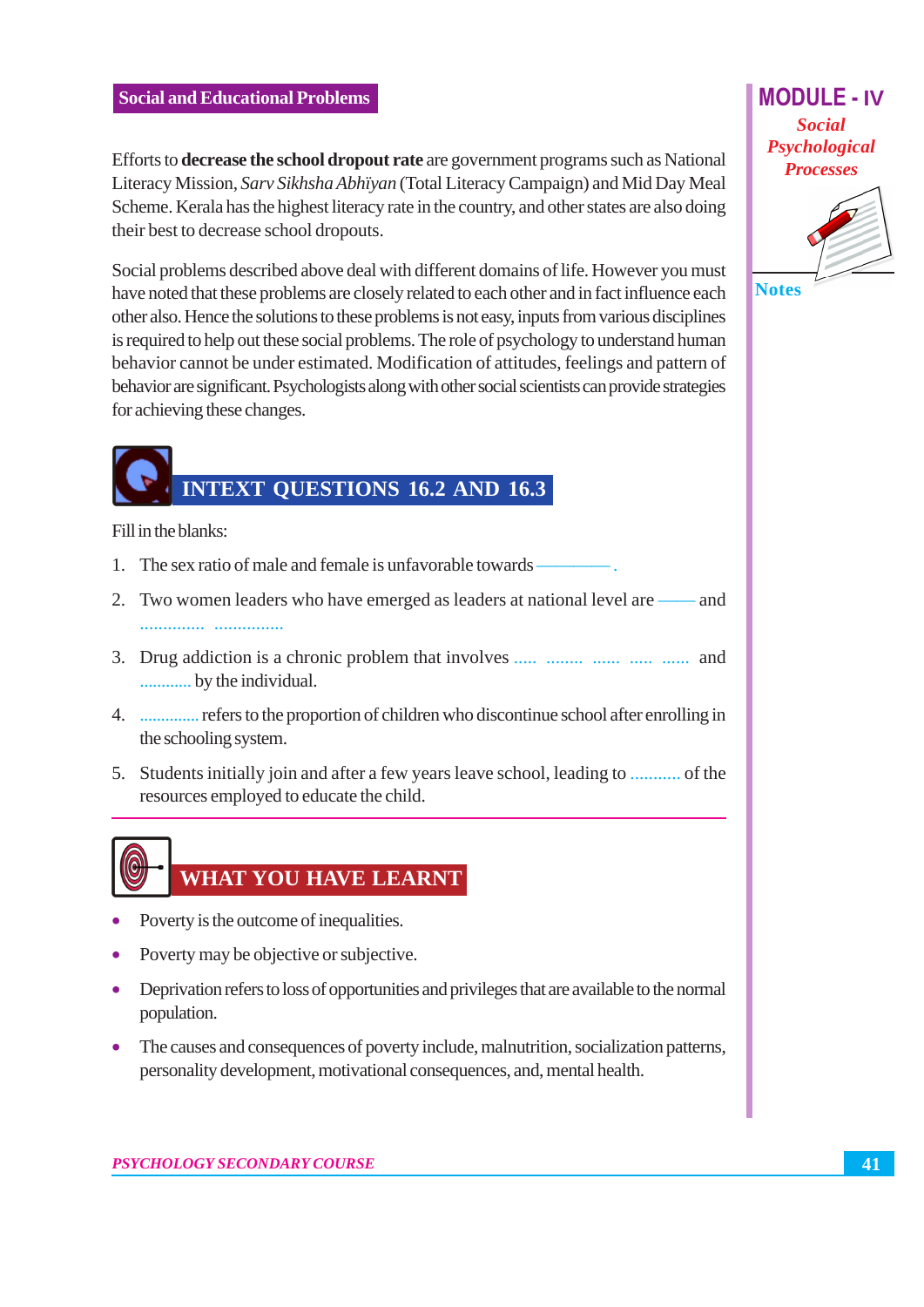Efforts to decrease the school dropout rate are government programs such as National Literacy Mission, Sarv Sikhsha Abhiyan (Total Literacy Campaign) and Mid Day Meal Scheme. Kerala has the highest literacy rate in the country, and other states are also doing their best to decrease school dropouts.

Social problems described above deal with different domains of life. However you must have noted that these problems are closely related to each other and in fact influence each other also. Hence the solutions to these problems is not easy, inputs from various disciplines is required to help out these social problems. The role of psychology to understand human behavior cannot be under estimated. Modification of attitudes, feelings and pattern of behavior are significant. Psychologists along with other social scientists can provide strategies for achieving these changes.

## **INTEXT QUESTIONS 16.2 AND 16.3**

Fill in the blanks:

- 1. The sex ratio of male and female is unfavorable towards
- 2. Two women leaders who have emerged as leaders at national level are and
- 3. Drug addiction is a chronic problem that involves ..... ....... ...... ...... ...... and ............ by the individual.
- the schooling system.
- 5. Students initially join and after a few years leave school, leading to ........... of the resources employed to educate the child.

# WHAT YOU HAVE LEARNT

- Poverty is the outcome of inequalities.
- Poverty may be objective or subjective.
- Deprivation refers to loss of opportunities and privileges that are available to the normal population.
- The causes and consequences of poverty include, malnutrition, socialization patterns, personality development, motivational consequences, and, mental health.

**MODULE - IV**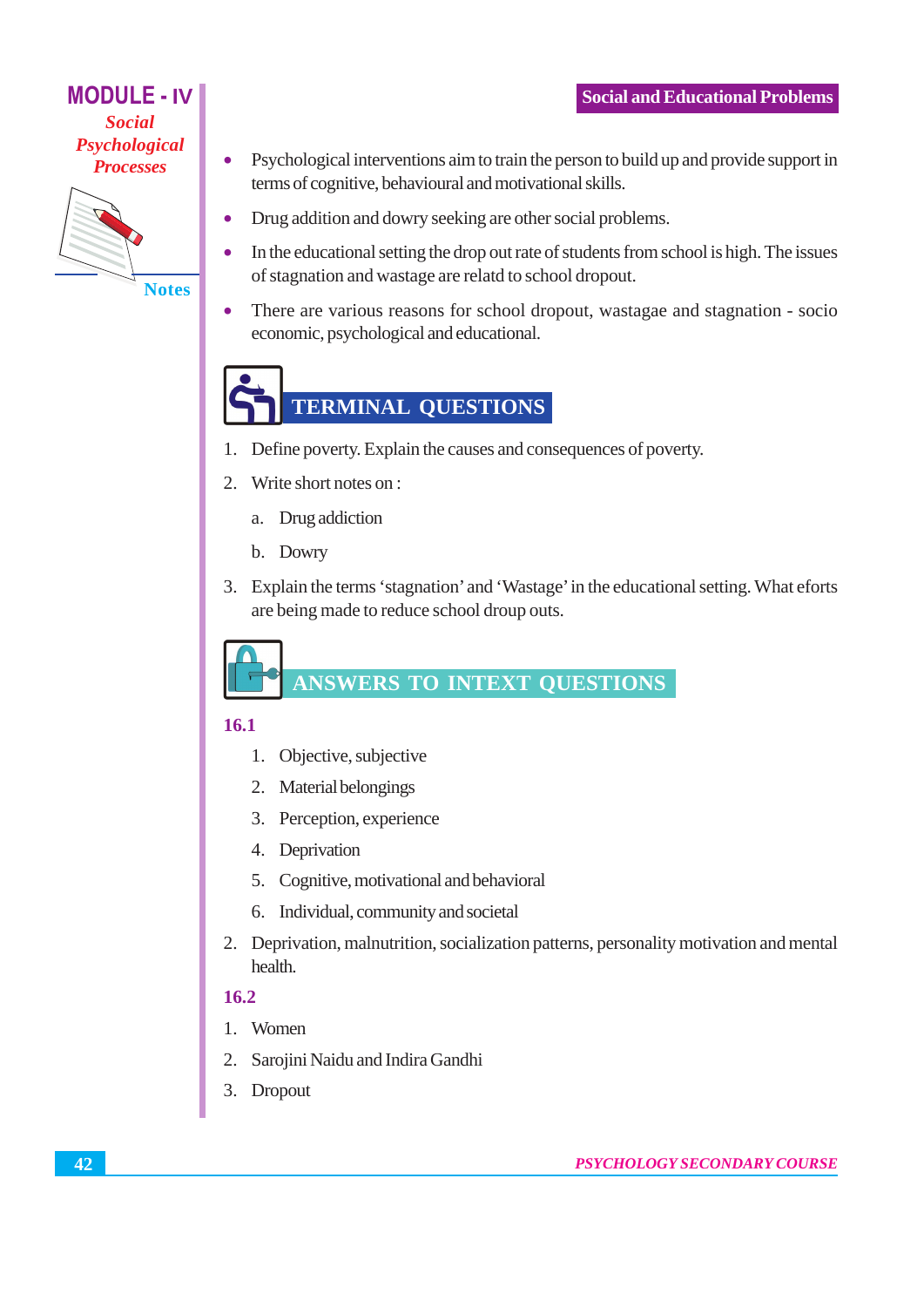## **MODULE - IV Social** Psychological **Processes**



**Notes** 

- Psychological interventions aim to train the person to build up and provide support in terms of cognitive, behavioural and motivational skills.
- Drug addition and dowry seeking are other social problems.  $\bullet$
- In the educational setting the drop out rate of students from school is high. The issues  $\bullet$ of stagnation and wastage are relatd to school dropout.
- There are various reasons for school dropout, wastagae and stagnation socio  $\bullet$ economic, psychological and educational.

# **TERMINAL QUESTIONS**

- 1. Define poverty. Explain the causes and consequences of poverty.
- 2. Write short notes on :
	- a. Drug addiction
	- b. Dowry
- 3. Explain the terms 'stagnation' and 'Wastage' in the educational setting. What eforts are being made to reduce school droup outs.

**ANSWERS TO INTEXT QUESTIONS** 

#### 16.1

- 1. Objective, subjective
- 2. Material belongings
- 3. Perception, experience
- 4. Deprivation
- 5. Cognitive, motivational and behavioral
- 6. Individual, community and societal
- 2. Deprivation, malnutrition, socialization patterns, personality motivation and mental health.

## $16.2$

- 1. Women
- 2. Sarojini Naidu and Indira Gandhi
- 3. Dropout